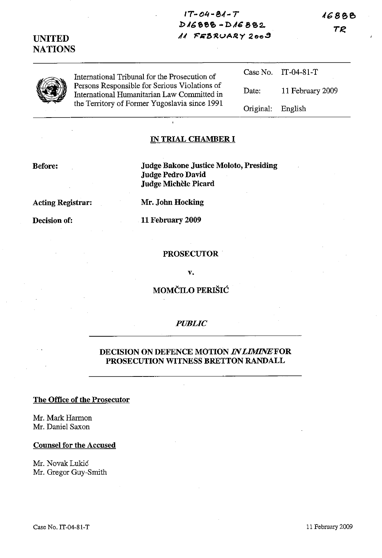16888

# TR

# **UNITED NATIONS**

Case No. Date: Original: IT-04-81-T 11 February 2009 English

### **IN TRIAL CHAMBER I**

#### **Before:**

**Judge Bakone Justice Moloto, Presiding Judge Pedro David Judge Michele Picard**

**IT-04 -8,(- T**

**bJ6&et> -D,1G 8'C2..** 11 FEBRUARY 2009

**Acting Registrar:**

**Decision of:**

**Mr. John Hocking**

**11 February 2009**

### **PROSECUTOR**

**v.**

# **MOMCILO PERISIC**

## *PUBLIC*

## **DECISION ON DEFENCE MOTION** *INLIMINEFOR* **PROSECUTION WITNESS BRETTON RANDALL**

# **The Office of the Prosecutor**

Mr. Mark Harmon Mr. Daniel Saxon

**Counsel for the Accused**

Mr. Novak Lukic Mr. Gregor Guy-Smith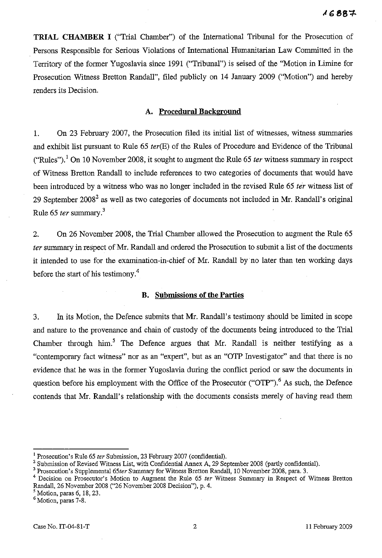**TRIAL CHAMBER I** ("Trial Chamber") of the International Tribunal for the Prosecution of Persons Responsible for Serious Violations of International Humanitarian Law Committed in the Territory of the former Yugoslavia since 1991 ("Tribunal") is seised of the "Motion in Limine for Prosecution Witness Bretton Randall", filed publicly on 14 January 2009 ("Motion") and hereby renders its Decision.

### **A. Procedural Background**

1. On 23 February 2007, the Prosecution filed its initial list of witnesses, witness summaries and exhibit list pursuant to Rule 65 *ter*(E) of the Rules of Procedure and Evidence of the Tribunal ("Rules").! On 10 November 200S, it sought to augment the Rule 65 *ter* witness summary in respect of Witness Bretton Randall to include references to two categories of documents that would have been introduced by a witness who was no longer included in the revised Rule 65 *ter* witness list of 29 September 2008<sup>2</sup> as well as two categories of documents not included in Mr. Randall's original Rule 65 *ter* summary?

2. On 26 November 200S, the Trial Chamber allowed the Prosecution to augment the Rule 65 *ter*summary in respect of Mr. Randall and ordered the Prosecution to submit a list of the documents it intended to use for the examination-in-chief of Mr. Randall by no later than ten working days before the start of his testimony.<sup>4</sup>

#### **B. Submissions of the Parties**

3. In its Motion, the Defence submits that Mr. Randall's testimony should be limited in scope and nature to the provenance and chain of custody of the documents being introduced to the Trial Chamber through him.<sup>5</sup> The Defence argues that Mr. Randall is neither testifying as a "contemporary fact witness" nor as an "expert", but as an "OTP Investigator" and that there is no evidence that he was in the former Yugoslavia during the conflict period or saw the documents in question before his employment with the Office of the Prosecutor ("OTP").<sup>6</sup> As such, the Defence contends that Mr. Randall's relationship with the documents consists merely of having read them

<sup>&</sup>lt;sup>1</sup> Prosecution's Rule 65 *ter* Submission, 23 February 2007 (confidential).

<sup>&</sup>lt;sup>2</sup> Submission of Revised Witness List, with Confidential Annex A, 29 September 2008 (partly confidential).

<sup>&</sup>lt;sup>3</sup> Prosecution's Supplemental 65ter Summary for Witness Bretton Randall, 10 November 2008, para. 3.

<sup>4</sup> Decisiou ou Prosecutor's Motion to Augment the Rule 65 *ter* Witness Summary iu Respect of Witness Bretton Randall, 26 November 2008 ("26 November 2008 Decisiou"), p. 4.

 $<sup>5</sup>$  Motion, paras 6, 18, 23.</sup>

<sup>&</sup>lt;sup>6</sup> Motion, paras 7-8.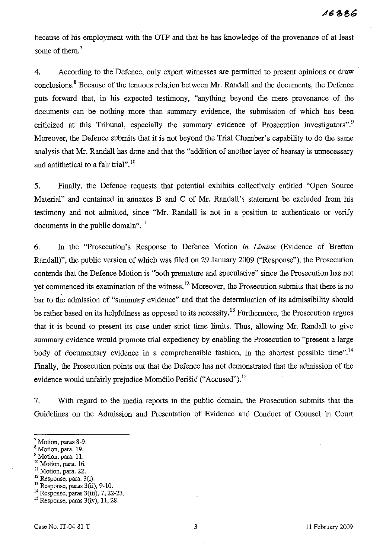because of his employment with the OTP and that he has knowledge of the provenance of at least some of them. $<sup>7</sup>$ </sup>

4. According to the Defence, only expert witnesses are permitted to present opinions or draw conclusions.<sup>8</sup> Because of the tenuous relation between Mr. Randall and the documents, the Defence puts forward that, in his expected testimony, "anything beyond the mere provenance of the documents can be nothing more than summary evidence, the submission of which has been criticized at this Tribunal, especially the summary evidence of Prosecution investigators".<sup>9</sup> Moreover, the Defence submits that it is not beyond the Trial Chamber's capability to do the same analysis that Mr. Randall has done and that the "addition of another layer of hearsay is unnecessary and antithetical to a fair trial". <sup>10</sup>

5. Finally, the Defence requests that potential exhibits collectively entitled "Open Source Material" and contained in annexes B and C of Mr. Randall's statement be excluded from his testimony and not admitted, since "Mr. Randall is not in a position to authenticate or verify documents in the public domain". $^{11}$ 

6. In the "Prosecution's Response to Defence Motion *in Limine* (Evidence of Bretton Randall)", the public version of which was filed on 29 January 2009 ("Response"), the Prosecution contends that the Defence Motion is "both premature and speculative" since the Prosecution has not yet commenced its examination of the witness.<sup>12</sup> Moreover, the Prosecution submits that there is no bar to the admission of "summary evidence" and that the determination of its admissibility should be rather based on its helpfulness as opposed to its necessity.<sup>13</sup> Furthermore, the Prosecution argues that it is bound to present its case under strict time limits, Thus, allowing Mr. Randall to give summary evidence would promote trial expediency by enabling the Prosecution to "present a large body of documentary evidence in a comprehensible fashion, in the shortest possible time".<sup>14</sup> Finally, the Prosecution points out that the Defence has not demonstrated that the admission of the evidence would unfairly prejudice Momčilo Perišić ("Accused").<sup>15</sup>

7. With regard to the media reports in the public domain, the Prosecution submits that the Guidelines on the Admission and Presentation of Evidence and Conduct of Counsel in Court

- <sup>11</sup> Motion, para. 22.
- <sup>12</sup> Response, para. 3(i).
- $13$  Response, paras  $3(ii)$ , 9-10.
- <sup>14</sup> Response, paras 3(iii), 7, 22-23.

<sup>7</sup> Motion, paras 8-9.

<sup>8</sup> Motion, para. 19.

<sup>&</sup>lt;sup>9</sup> Motion, para. 11.

<sup>&</sup>lt;sup>10</sup> Motion, para. 16.

 $15$  Response, paras  $3(iv)$ , 11, 28.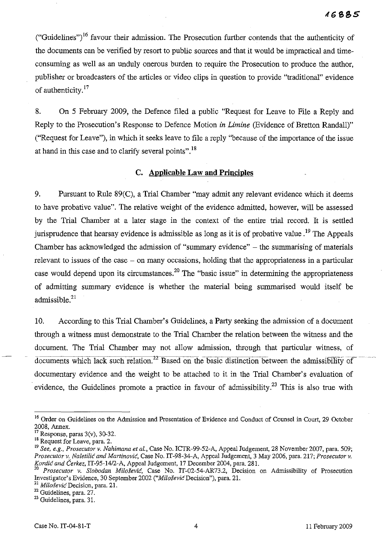("Guidelines")<sup>16</sup> favour their admission. The Prosecution further contends that the authenticity of the documents can be verified by resort to public sources and that it would be impractical and timeconsuming as well as an unduly onerous burden to require the Prosecution to produce the author, publisher or broadcasters of the articles or video clips in question to provide "traditional" evidence of authenticity.<sup>17</sup>

8. On 5 February 2009, the Defence filed a public "Request for Leave to File a Reply and Reply to the Prosecution's Response to Defence Motion *in Limine* (Evidence of Bretton Randall)" ("Request for Leave"), in which it seeks leave to file a reply "because of the importance of the issue at hand in this case and to clarify several points".<sup>18</sup>

### **C. Applicable Law and Principles**

9. Pursuant to Rule 89(C), a Trial Chamber "may admit any relevant evidence which it deems to have probative value". The relative weight of the evidence admitted, however, will be assessed by the Trial Chamber at a later stage in the context of the entire trial record. It is settled jurisprudence that hearsay evidence is admissible as long as it is of probative value.<sup>19</sup> The Appeals Chamber has acknowledged the admission of "summary evidence" - the summarising of materials relevant to issues of the case – on many occasions, holding that the appropriateness in a particular case would depend upon its circumstances.<sup>20</sup> The "basic issue" in determining the appropriateness of admitting summary evidence is whether the material being summarised would itself be admissible. $21$ 

10. According to this Trial Chamber's Guidelines, a Party seeking the admission of a document through a witness must demonstrate to the Trial Chamber the relation between the witness and the document. The Trial Chamber may not allow admission, through that particular witness, of  $d$ ocuments which lack such relation.<sup>22</sup> Based on the basic distinction between the admissibility of documentary evidence and the weight to be attached to it in the Trial Chamber's evaluation of evidence, the Guidelines promote a practice in favour of admissibility.<sup>23</sup> This is also true with

<sup>&</sup>lt;sup>16</sup> Order on Guidelines on the Admission and Presentation of Evidence and Conduct of Counsel in Court, 29 October 2008, Annex.

Response, paras 3(v), 30-32.

<sup>&</sup>lt;sup>18</sup> Request for Leave, para. 2.

<sup>19</sup> *See, e.g., Prosecutor* v. *Nahimana et al.,* Case No. ICTR-99-52-A, Appeal Judgement, 28 November 2007, para. 509; *Prosecutor* v. *Naletilic and Martinovic.* Case No. IT-98-34-A, Appeal Judgement, 3 May 2006, para. 217; *Prosecutor* v. *Kordic and Cerkez,* IT-95-14/2-A, Appeal Judgement, 17 December 2004, para. 281.

<sup>20</sup> *Prosecutor* v. *Slobodan* Milosevic, Case No. IT-02-54-AR73.2, Decision on Admissibility of Prosecution Investigator's Evidence, 30 September 2002 *("MilosevicDecision"),* para. 21.

**Z1** *MilosevicDecision,* **para. 21.**

<sup>&</sup>lt;sup>22</sup> Guidelines, para. 27.

<sup>23</sup> Guidelines, para. 31.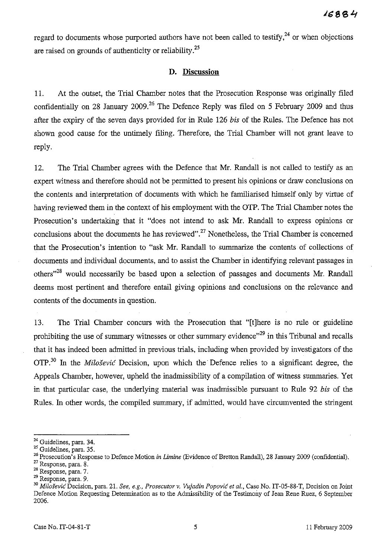regard to documents whose purported authors have not been called to testify, $^{24}$  or when objections are raised on grounds of authenticity or reliability. $^{25}$ 

# **D. Discussion**

11. At the outset, the Trial Chamber notes that the Prosecution Response was originally filed confidentially on 28 January 2009.<sup>26</sup> The Defence Reply was filed on 5 February 2009 and thus after the expiry of the seven days provided for **in** Rule 126 *bis* of the Rules. The Defence has not shown good cause for the untimely filing. Therefore, the Trial Chamber will not grant leave to reply.

12. The Trial Chamber agrees with the Defence that Mr. Randall is not called to testify as an expert witness and therefore should not be permitted to present his opinions or draw conclusions on the contents and interpretation of documents with which he familiarised himself only by virtue of having reviewed them in the context of his employment with the OTP. The Trial Chamber notes the Prosecution's undertaking that it "does not intend to ask Mr. Randall to express opinions or conclusions about the documents he has reviewed".<sup>27</sup> Nonetheless, the Trial Chamber is concerned that the Prosecution's intention to "ask Mr. Randall to summarize the contents of collections of documents and individual documents, and to assist the Chamber in identifying relevant passages in others<sup>128</sup> would necessarily be based upon a selection of passages and documents Mr. Randall deems most pertinent and therefore entail giving opinions and conclusions on the relevance and contents of the documents in question.

13. The Trial Chamber concurs with the Prosecution that "[t]here is no rule or guideline prohibiting the use of summary witnesses or other summary evidence"<sup>29</sup> in this Tribunal and recalls that it has indeed been admitted in previous trials, including when provided by investigators of the OTP. <sup>30</sup> In the *Milosevic* Decision, upon which the' Defence relies to a significant degree, the Appeals Chamber, however, upheld the inadmissibility of a compilation of witness summaries. Yet in that particular case, the underlying material was inadmissible pursuant to Rule 92 *bis* of the Rules. In other words, the compiled summary, if admitted, would have circumvented the stringent

<sup>&</sup>lt;sup>24</sup> Guidelines, para. 34.

 $25$  Guidelines, para. 35.

<sup>&</sup>lt;sup>26</sup> Prosecution's Response to Defence Motion *in Limine* (Evidence of Bretton Randall), 28 January 2009 (confidential).

<sup>27</sup> Response, para. 8.

<sup>28</sup> Response, para. 7.

<sup>29</sup> Response, para. 9.

<sup>30</sup> *Miloievu:* Decision, para. 21. *See, e.g., Prosecutor* v, *Vujadin Popovic et al.,* Case No. IT-05-88-T, Decision on Joint Defence Motion Requesting Determination as to the Admissibility of the Testimony of Jean Rene Ruez, 6 September 2006.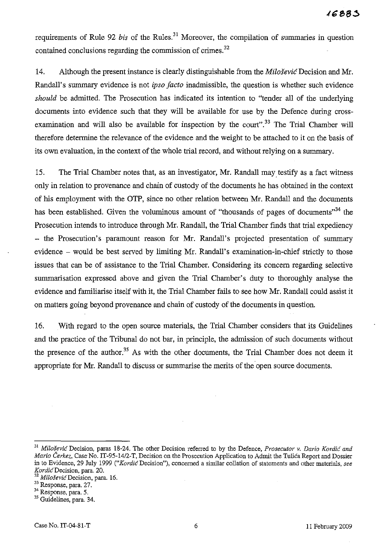requirements of Rule 92 *bis* of the Rules.<sup>31</sup> Moreover, the compilation of summaries in question contained conclusions regarding the commission of crimes.<sup>32</sup>

14. Although the present instance is clearly distinguishable from the *Milosevic* Decision and Mr. Randall's summary evidence is not *ipso facto* inadmissible, the question is whether such evidence *should* be admitted. The Prosecution has indicated its intention to "tender all of the underlying documents into evidence such that they will be available for use by the Defence during crossexamination and will also be available for inspection by the court".<sup>33</sup> The Trial Chamber will therefore determine the relevance of the evidence and the weight to be attached to it on the basis of its own evaluation, in the context of the whole trial record, and without relying on a summary.

15. The Trial Chamber notes that, as an investigator, Mr. Randall maytestify as a fact witness only in relation to provenance and chain of custody of the documents he has obtained in the context of his employment with the OTP, since no other relation between Mr. Randall and the documents has been established. Given the voluminous amount of "thousands of pages of documents"<sup>34</sup> the Prosecution intends to introduce through Mr. Randall, the Trial Chamber finds that trial expediency - the Prosecution's paramount reason for Mr. Randall's projected presentation of summary evidence – would be best served by limiting Mr. Randall's examination-in-chief strictly to those issues that can be of assistance to the Trial Chamber. Considering its concern regarding selective summarisation expressed above and given the Trial Chamber's duty to thoroughly analyse the evidence and familiarise itself with it, the Trial Chamber fails to see how Mr. Randall could assist it on matters going beyond provenance and chain of custody of the documents in question.

16. With regard to the open source materials, the Trial Chamber considers that its Guidelines and the practice of the Tribunal do not bar, in principle, the admission of such documents without the presence of the author.<sup>35</sup> As with the other documents, the Trial Chamber does not deem it appropriate for Mr. Randall to discuss or summarise the merits of the open source documents.

*<sup>31</sup> Milosevic* Decision, paras 18-24. The other Decision referred to by the Defence, *Prosecutor v. Daria Kordic and Mario Čerkez*, Case No. IT-95-14/2-T, Decision on the Prosecution Application to Admit the Tulica Report and Dossier in to Evidence, 29 July 1999 *("Kordic* Decision"), concerned a sintilar collation of statements and other materials, *see KordicDecision,* para. 20.

<sup>32</sup> *MilosevicDecision,* para. 16.

<sup>33</sup> Response, para. 27.

<sup>34</sup> Response, para. 5.

<sup>&</sup>lt;sup>35</sup> Guidelines, para. 34.